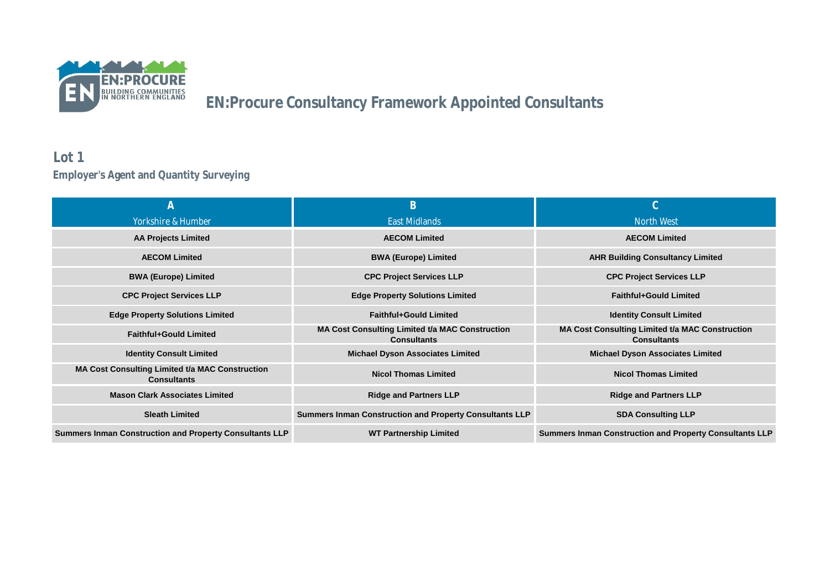

### **Lot 1 Employer's Agent and Quantity Surveying**

|                                                                              | B                                                                            | $\cap$                                                                       |
|------------------------------------------------------------------------------|------------------------------------------------------------------------------|------------------------------------------------------------------------------|
| Yorkshire & Humber                                                           | East Midlands                                                                | North West                                                                   |
| <b>AA Projects Limited</b>                                                   | <b>AECOM Limited</b>                                                         | <b>AECOM Limited</b>                                                         |
| <b>AECOM Limited</b>                                                         | <b>BWA (Europe) Limited</b>                                                  | <b>AHR Building Consultancy Limited</b>                                      |
| <b>BWA (Europe) Limited</b>                                                  | <b>CPC Project Services LLP</b>                                              | <b>CPC Project Services LLP</b>                                              |
| <b>CPC Project Services LLP</b>                                              | <b>Edge Property Solutions Limited</b>                                       | <b>Faithful+Gould Limited</b>                                                |
| <b>Edge Property Solutions Limited</b>                                       | <b>Faithful+Gould Limited</b>                                                | <b>Identity Consult Limited</b>                                              |
| <b>Faithful+Gould Limited</b>                                                | <b>MA Cost Consulting Limited t/a MAC Construction</b><br><b>Consultants</b> | <b>MA Cost Consulting Limited t/a MAC Construction</b><br><b>Consultants</b> |
| <b>Identity Consult Limited</b>                                              | <b>Michael Dyson Associates Limited</b>                                      | <b>Michael Dyson Associates Limited</b>                                      |
| <b>MA Cost Consulting Limited t/a MAC Construction</b><br><b>Consultants</b> | <b>Nicol Thomas Limited</b>                                                  | <b>Nicol Thomas Limited</b>                                                  |
| <b>Mason Clark Associates Limited</b>                                        | <b>Ridge and Partners LLP</b>                                                | <b>Ridge and Partners LLP</b>                                                |
| <b>Sleath Limited</b>                                                        | <b>Summers Inman Construction and Property Consultants LLP</b>               | <b>SDA Consulting LLP</b>                                                    |
| <b>Summers Inman Construction and Property Consultants LLP</b>               | <b>WT Partnership Limited</b>                                                | <b>Summers Inman Construction and Property Consultants LLP</b>               |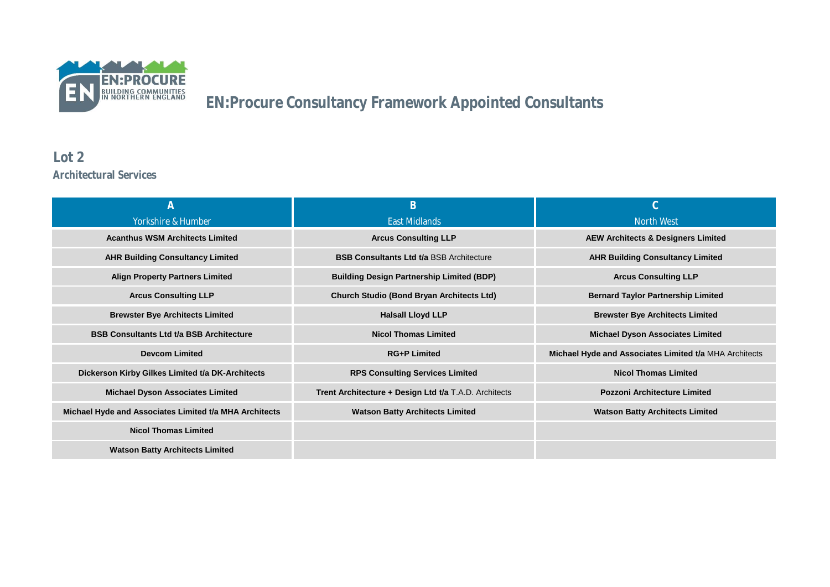

#### **Lot 2 Architectural Services**

| A                                                      | B                                                     | $\cap$                                                 |
|--------------------------------------------------------|-------------------------------------------------------|--------------------------------------------------------|
| Yorkshire & Humber                                     | East Midlands                                         | North West                                             |
| <b>Acanthus WSM Architects Limited</b>                 | <b>Arcus Consulting LLP</b>                           | <b>AEW Architects &amp; Designers Limited</b>          |
| <b>AHR Building Consultancy Limited</b>                | <b>BSB Consultants Ltd t/a BSB Architecture</b>       | <b>AHR Building Consultancy Limited</b>                |
| <b>Align Property Partners Limited</b>                 | <b>Building Design Partnership Limited (BDP)</b>      | <b>Arcus Consulting LLP</b>                            |
| <b>Arcus Consulting LLP</b>                            | <b>Church Studio (Bond Bryan Architects Ltd)</b>      | <b>Bernard Taylor Partnership Limited</b>              |
| <b>Brewster Bye Architects Limited</b>                 | <b>Halsall Lloyd LLP</b>                              | <b>Brewster Bye Architects Limited</b>                 |
| <b>BSB Consultants Ltd t/a BSB Architecture</b>        | <b>Nicol Thomas Limited</b>                           | <b>Michael Dyson Associates Limited</b>                |
| <b>Devcom Limited</b>                                  | <b>RG+P Limited</b>                                   | Michael Hyde and Associates Limited t/a MHA Architects |
| Dickerson Kirby Gilkes Limited t/a DK-Architects       | <b>RPS Consulting Services Limited</b>                | <b>Nicol Thomas Limited</b>                            |
| <b>Michael Dyson Associates Limited</b>                | Trent Architecture + Design Ltd t/a T.A.D. Architects | <b>Pozzoni Architecture Limited</b>                    |
| Michael Hyde and Associates Limited t/a MHA Architects | <b>Watson Batty Architects Limited</b>                | <b>Watson Batty Architects Limited</b>                 |
| <b>Nicol Thomas Limited</b>                            |                                                       |                                                        |
| <b>Watson Batty Architects Limited</b>                 |                                                       |                                                        |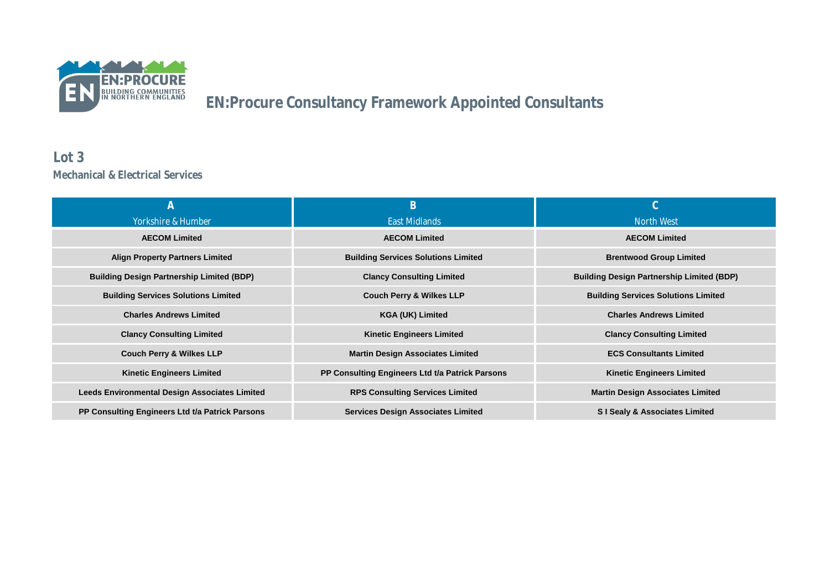

#### **Lot 3 Mechanical & Electrical Services**

|                                                      | B                                               | $\cap$                                           |
|------------------------------------------------------|-------------------------------------------------|--------------------------------------------------|
| Yorkshire & Humber                                   | East Midlands                                   | North West                                       |
| <b>AECOM Limited</b>                                 | <b>AECOM Limited</b>                            | <b>AECOM Limited</b>                             |
| <b>Align Property Partners Limited</b>               | <b>Building Services Solutions Limited</b>      | <b>Brentwood Group Limited</b>                   |
| <b>Building Design Partnership Limited (BDP)</b>     | <b>Clancy Consulting Limited</b>                | <b>Building Design Partnership Limited (BDP)</b> |
| <b>Building Services Solutions Limited</b>           | <b>Couch Perry &amp; Wilkes LLP</b>             | <b>Building Services Solutions Limited</b>       |
| <b>Charles Andrews Limited</b>                       | <b>KGA (UK) Limited</b>                         | <b>Charles Andrews Limited</b>                   |
| <b>Clancy Consulting Limited</b>                     | <b>Kinetic Engineers Limited</b>                | <b>Clancy Consulting Limited</b>                 |
| <b>Couch Perry &amp; Wilkes LLP</b>                  | <b>Martin Design Associates Limited</b>         | <b>ECS Consultants Limited</b>                   |
| <b>Kinetic Engineers Limited</b>                     | PP Consulting Engineers Ltd t/a Patrick Parsons | <b>Kinetic Engineers Limited</b>                 |
| <b>Leeds Environmental Design Associates Limited</b> | <b>RPS Consulting Services Limited</b>          | <b>Martin Design Associates Limited</b>          |
| PP Consulting Engineers Ltd t/a Patrick Parsons      | <b>Services Design Associates Limited</b>       | <b>SI Sealy &amp; Associates Limited</b>         |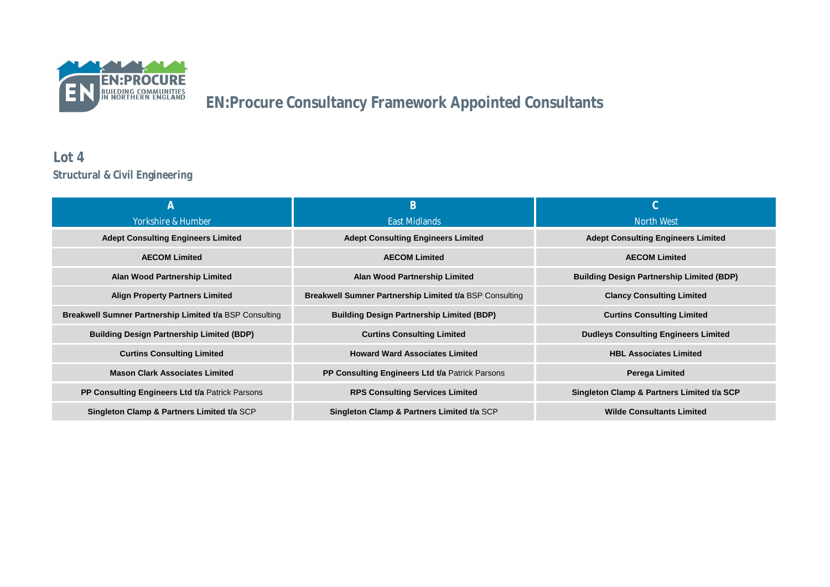

### **Lot 4 Structural & Civil Engineering**

|                                                                | B                                                              | $\cap$                                           |
|----------------------------------------------------------------|----------------------------------------------------------------|--------------------------------------------------|
| Yorkshire & Humber                                             | <b>Fast Midlands</b>                                           | North West                                       |
| <b>Adept Consulting Engineers Limited</b>                      | <b>Adept Consulting Engineers Limited</b>                      | <b>Adept Consulting Engineers Limited</b>        |
| <b>AECOM Limited</b>                                           | <b>AECOM Limited</b>                                           | <b>AECOM Limited</b>                             |
| Alan Wood Partnership Limited                                  | <b>Alan Wood Partnership Limited</b>                           | <b>Building Design Partnership Limited (BDP)</b> |
| <b>Align Property Partners Limited</b>                         | <b>Breakwell Sumner Partnership Limited t/a BSP Consulting</b> | <b>Clancy Consulting Limited</b>                 |
| <b>Breakwell Sumner Partnership Limited t/a BSP Consulting</b> | <b>Building Design Partnership Limited (BDP)</b>               | <b>Curtins Consulting Limited</b>                |
| <b>Building Design Partnership Limited (BDP)</b>               | <b>Curtins Consulting Limited</b>                              | <b>Dudleys Consulting Engineers Limited</b>      |
| <b>Curtins Consulting Limited</b>                              | <b>Howard Ward Associates Limited</b>                          | <b>HBL Associates Limited</b>                    |
| <b>Mason Clark Associates Limited</b>                          | PP Consulting Engineers Ltd t/a Patrick Parsons                | Perega Limited                                   |
| PP Consulting Engineers Ltd t/a Patrick Parsons                | <b>RPS Consulting Services Limited</b>                         | Singleton Clamp & Partners Limited t/a SCP       |
| Singleton Clamp & Partners Limited t/a SCP                     | Singleton Clamp & Partners Limited t/a SCP                     | <b>Wilde Consultants Limited</b>                 |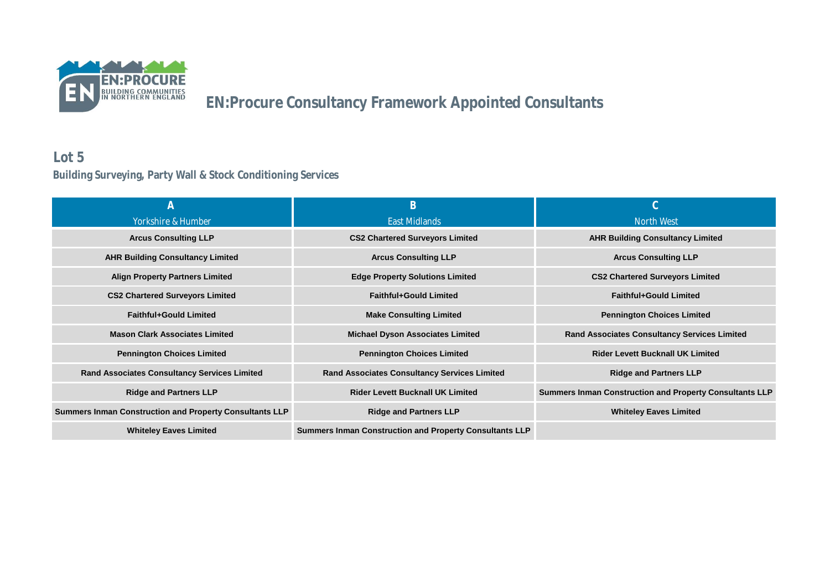

### **Lot 5 Building Surveying, Party Wall & Stock Conditioning Services**

| $\mathcal{A}$                                                  | B                                                              | $\cap$                                                         |
|----------------------------------------------------------------|----------------------------------------------------------------|----------------------------------------------------------------|
| Yorkshire & Humber                                             | East Midlands                                                  | North West                                                     |
| <b>Arcus Consulting LLP</b>                                    | <b>CS2 Chartered Surveyors Limited</b>                         | <b>AHR Building Consultancy Limited</b>                        |
| <b>AHR Building Consultancy Limited</b>                        | <b>Arcus Consulting LLP</b>                                    | <b>Arcus Consulting LLP</b>                                    |
| <b>Align Property Partners Limited</b>                         | <b>Edge Property Solutions Limited</b>                         | <b>CS2 Chartered Surveyors Limited</b>                         |
| <b>CS2 Chartered Surveyors Limited</b>                         | <b>Faithful+Gould Limited</b>                                  | <b>Faithful+Gould Limited</b>                                  |
| <b>Faithful+Gould Limited</b>                                  | <b>Make Consulting Limited</b>                                 | <b>Pennington Choices Limited</b>                              |
| <b>Mason Clark Associates Limited</b>                          | <b>Michael Dyson Associates Limited</b>                        | <b>Rand Associates Consultancy Services Limited</b>            |
| <b>Pennington Choices Limited</b>                              | <b>Pennington Choices Limited</b>                              | <b>Rider Levett Bucknall UK Limited</b>                        |
| <b>Rand Associates Consultancy Services Limited</b>            | <b>Rand Associates Consultancy Services Limited</b>            | <b>Ridge and Partners LLP</b>                                  |
| <b>Ridge and Partners LLP</b>                                  | <b>Rider Levett Bucknall UK Limited</b>                        | <b>Summers Inman Construction and Property Consultants LLP</b> |
| <b>Summers Inman Construction and Property Consultants LLP</b> | <b>Ridge and Partners LLP</b>                                  | <b>Whiteley Eaves Limited</b>                                  |
| <b>Whiteley Eaves Limited</b>                                  | <b>Summers Inman Construction and Property Consultants LLP</b> |                                                                |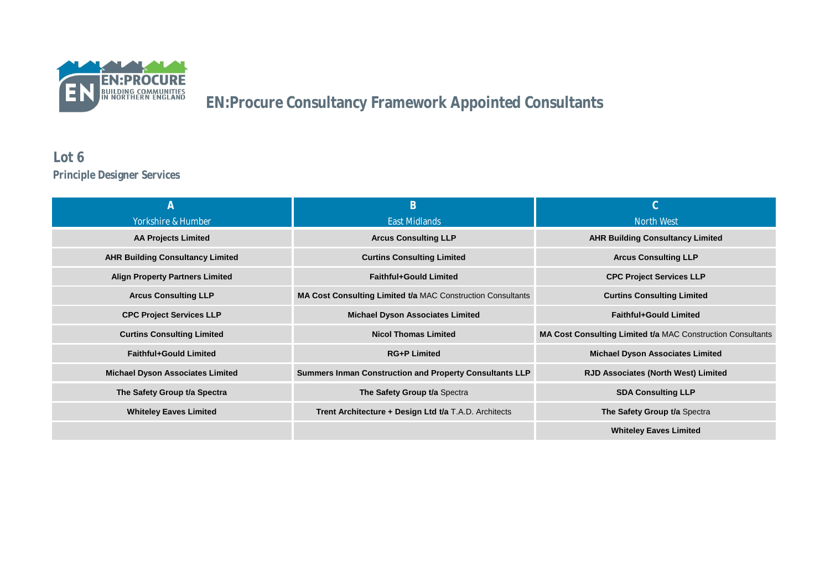

### **Lot 6 Principle Designer Services**

|                                         | B                                                                  |                                                                    |
|-----------------------------------------|--------------------------------------------------------------------|--------------------------------------------------------------------|
| Yorkshire & Humber                      | East Midlands                                                      | North West                                                         |
| <b>AA Projects Limited</b>              | <b>Arcus Consulting LLP</b>                                        | <b>AHR Building Consultancy Limited</b>                            |
| <b>AHR Building Consultancy Limited</b> | <b>Curtins Consulting Limited</b>                                  | <b>Arcus Consulting LLP</b>                                        |
| <b>Align Property Partners Limited</b>  | <b>Faithful+Gould Limited</b>                                      | <b>CPC Project Services LLP</b>                                    |
| <b>Arcus Consulting LLP</b>             | <b>MA Cost Consulting Limited t/a MAC Construction Consultants</b> | <b>Curtins Consulting Limited</b>                                  |
| <b>CPC Project Services LLP</b>         | <b>Michael Dyson Associates Limited</b>                            | <b>Faithful+Gould Limited</b>                                      |
| <b>Curtins Consulting Limited</b>       | <b>Nicol Thomas Limited</b>                                        | <b>MA Cost Consulting Limited t/a MAC Construction Consultants</b> |
| <b>Faithful+Gould Limited</b>           | <b>RG+P Limited</b>                                                | <b>Michael Dyson Associates Limited</b>                            |
| <b>Michael Dyson Associates Limited</b> | <b>Summers Inman Construction and Property Consultants LLP</b>     | <b>RJD Associates (North West) Limited</b>                         |
| The Safety Group t/a Spectra            | The Safety Group t/a Spectra                                       | <b>SDA Consulting LLP</b>                                          |
| <b>Whiteley Eaves Limited</b>           | Trent Architecture + Design Ltd t/a T.A.D. Architects              | The Safety Group t/a Spectra                                       |
|                                         |                                                                    | <b>Whiteley Eaves Limited</b>                                      |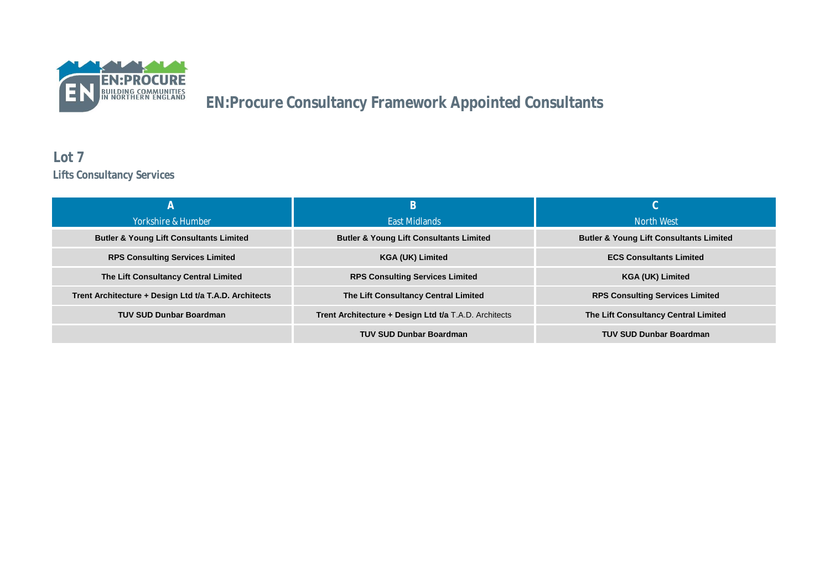

#### **Lot 7 Lifts Consultancy Services**

|                                                       | B                                                     |                                                    |
|-------------------------------------------------------|-------------------------------------------------------|----------------------------------------------------|
| Yorkshire & Humber                                    | <b>Fast Midlands</b>                                  | North West                                         |
| <b>Butler &amp; Young Lift Consultants Limited</b>    | <b>Butler &amp; Young Lift Consultants Limited</b>    | <b>Butler &amp; Young Lift Consultants Limited</b> |
| <b>RPS Consulting Services Limited</b>                | <b>KGA (UK) Limited</b>                               | <b>ECS Consultants Limited</b>                     |
| The Lift Consultancy Central Limited                  | <b>RPS Consulting Services Limited</b>                | <b>KGA (UK) Limited</b>                            |
| Trent Architecture + Design Ltd t/a T.A.D. Architects | The Lift Consultancy Central Limited                  | <b>RPS Consulting Services Limited</b>             |
| <b>TUV SUD Dunbar Boardman</b>                        | Trent Architecture + Design Ltd t/a T.A.D. Architects | The Lift Consultancy Central Limited               |
|                                                       | <b>TUV SUD Dunbar Boardman</b>                        | <b>TUV SUD Dunbar Boardman</b>                     |